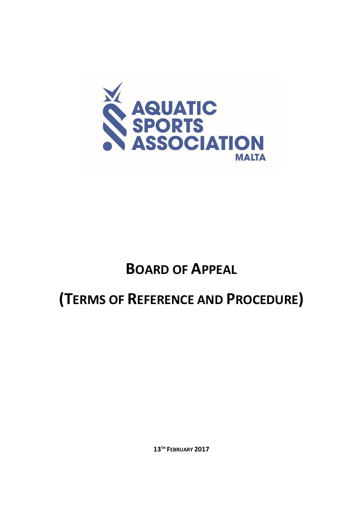

# **BOARD OF APPEAL**

# **(TERMS OF REFERENCE AND PROCEDURE)**

**13TH FEBRUARY 2017**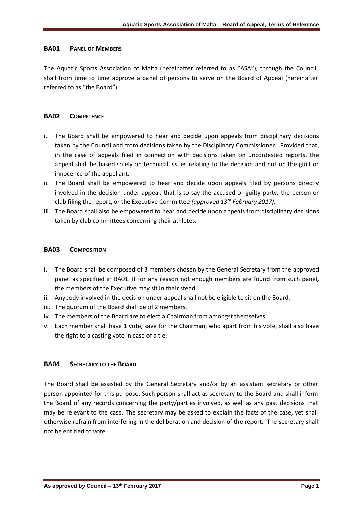### **BA01 PANEL OF MEMBERS**

The Aquatic Sports Association of Malta (hereinafter referred to as "ASA"), through the Council, shall from time to time approve a panel of persons to serve on the Board of Appeal (hereinafter referred to as "the Board").

#### **BA02 COMPETENCE**

- i. The Board shall be empowered to hear and decide upon appeals from disciplinary decisions taken by the Council and from decisions taken by the Disciplinary Commissioner. Provided that, in the case of appeals filed in connection with decisions taken on uncontested reports, the appeal shall be based solely on technical issues relating to the decision and not on the guilt or innocence of the appellant.
- ii. The Board shall be empowered to hear and decide upon appeals filed by persons directly involved in the decision under appeal, that is to say the accused or guilty party, the person or club filing the report, or the Executive Committee *(approved 13th February 2017)*.
- iii. The Board shall also be empowered to hear and decide upon appeals from disciplinary decisions taken by club committees concerning their athletes.

#### **BA03 COMPOSITION**

- i. The Board shall be composed of 3 members chosen by the General Secretary from the approved panel as specified in BA01. If for any reason not enough members are found from such panel, the members of the Executive may sit in their stead.
- ii. Anybody involved in the decision under appeal shall not be eligible to sit on the Board.
- iii. The quorum of the Board shall be of 2 members.
- iv. The members of the Board are to elect a Chairman from amongst themselves.
- v. Each member shall have 1 vote, save for the Chairman, who apart from his vote, shall also have the right to a casting vote in case of a tie.

#### **BA04 SECRETARY TO THE BOARD**

The Board shall be assisted by the General Secretary and/or by an assistant secretary or other person appointed for this purpose. Such person shall act as secretary to the Board and shall inform the Board of any records concerning the party/parties involved, as well as any past decisions that may be relevant to the case. The secretary may be asked to explain the facts of the case, yet shall otherwise refrain from interfering in the deliberation and decision of the report. The secretary shall not be entitled to vote.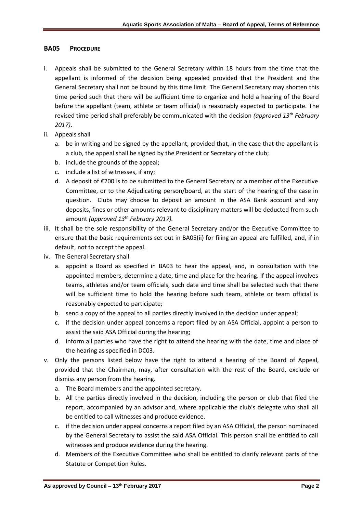### **BA05 PROCEDURE**

- i. Appeals shall be submitted to the General Secretary within 18 hours from the time that the appellant is informed of the decision being appealed provided that the President and the General Secretary shall not be bound by this time limit. The General Secretary may shorten this time period such that there will be sufficient time to organize and hold a hearing of the Board before the appellant (team, athlete or team official) is reasonably expected to participate. The revised time period shall preferably be communicated with the decision *(approved 13th February 2017)*.
- ii. Appeals shall
	- a. be in writing and be signed by the appellant, provided that, in the case that the appellant is a club, the appeal shall be signed by the President or Secretary of the club;
	- b. include the grounds of the appeal;
	- c. include a list of witnesses, if any;
	- d. A deposit of €200 is to be submitted to the General Secretary or a member of the Executive Committee, or to the Adjudicating person/board, at the start of the hearing of the case in question. Clubs may choose to deposit an amount in the ASA Bank account and any deposits, fines or other amounts relevant to disciplinary matters will be deducted from such amount *(approved 13th February 2017).*
- iii. It shall be the sole responsibility of the General Secretary and/or the Executive Committee to ensure that the basic requirements set out in BA05(ii) for filing an appeal are fulfilled, and, if in default, not to accept the appeal.
- iv. The General Secretary shall
	- a. appoint a Board as specified in BA03 to hear the appeal, and, in consultation with the appointed members, determine a date, time and place for the hearing. If the appeal involves teams, athletes and/or team officials, such date and time shall be selected such that there will be sufficient time to hold the hearing before such team, athlete or team official is reasonably expected to participate;
	- b. send a copy of the appeal to all parties directly involved in the decision under appeal;
	- c. if the decision under appeal concerns a report filed by an ASA Official, appoint a person to assist the said ASA Official during the hearing;
	- d. inform all parties who have the right to attend the hearing with the date, time and place of the hearing as specified in DC03.
- v. Only the persons listed below have the right to attend a hearing of the Board of Appeal, provided that the Chairman, may, after consultation with the rest of the Board, exclude or dismiss any person from the hearing.
	- a. The Board members and the appointed secretary.
	- b. All the parties directly involved in the decision, including the person or club that filed the report, accompanied by an advisor and, where applicable the club's delegate who shall all be entitled to call witnesses and produce evidence.
	- c. if the decision under appeal concerns a report filed by an ASA Official, the person nominated by the General Secretary to assist the said ASA Official. This person shall be entitled to call witnesses and produce evidence during the hearing.
	- d. Members of the Executive Committee who shall be entitled to clarify relevant parts of the Statute or Competition Rules.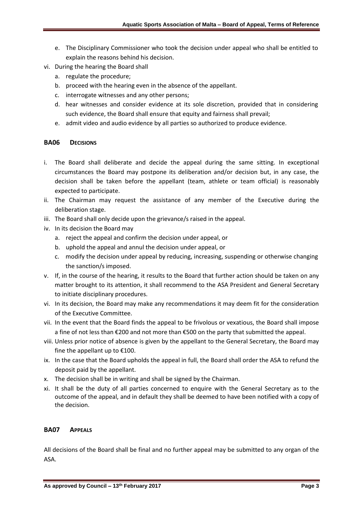- e. The Disciplinary Commissioner who took the decision under appeal who shall be entitled to explain the reasons behind his decision.
- vi. During the hearing the Board shall
	- a. regulate the procedure;
	- b. proceed with the hearing even in the absence of the appellant.
	- c. interrogate witnesses and any other persons;
	- d. hear witnesses and consider evidence at its sole discretion, provided that in considering such evidence, the Board shall ensure that equity and fairness shall prevail;
	- e. admit video and audio evidence by all parties so authorized to produce evidence.

### **BA06 DECISIONS**

- i. The Board shall deliberate and decide the appeal during the same sitting. In exceptional circumstances the Board may postpone its deliberation and/or decision but, in any case, the decision shall be taken before the appellant (team, athlete or team official) is reasonably expected to participate.
- ii. The Chairman may request the assistance of any member of the Executive during the deliberation stage.
- iii. The Board shall only decide upon the grievance/s raised in the appeal.
- iv. In its decision the Board may
	- a. reject the appeal and confirm the decision under appeal, or
	- b. uphold the appeal and annul the decision under appeal, or
	- c. modify the decision under appeal by reducing, increasing, suspending or otherwise changing the sanction/s imposed.
- v. If, in the course of the hearing, it results to the Board that further action should be taken on any matter brought to its attention, it shall recommend to the ASA President and General Secretary to initiate disciplinary procedures.
- vi. In its decision, the Board may make any recommendations it may deem fit for the consideration of the Executive Committee.
- vii. In the event that the Board finds the appeal to be frivolous or vexatious, the Board shall impose a fine of not less than €200 and not more than €500 on the party that submitted the appeal.
- viii. Unless prior notice of absence is given by the appellant to the General Secretary, the Board may fine the appellant up to  $£100$ .
- ix. In the case that the Board upholds the appeal in full, the Board shall order the ASA to refund the deposit paid by the appellant.
- x. The decision shall be in writing and shall be signed by the Chairman.
- xi. It shall be the duty of all parties concerned to enquire with the General Secretary as to the outcome of the appeal, and in default they shall be deemed to have been notified with a copy of the decision.

## **BA07 APPEALS**

All decisions of the Board shall be final and no further appeal may be submitted to any organ of the ASA.